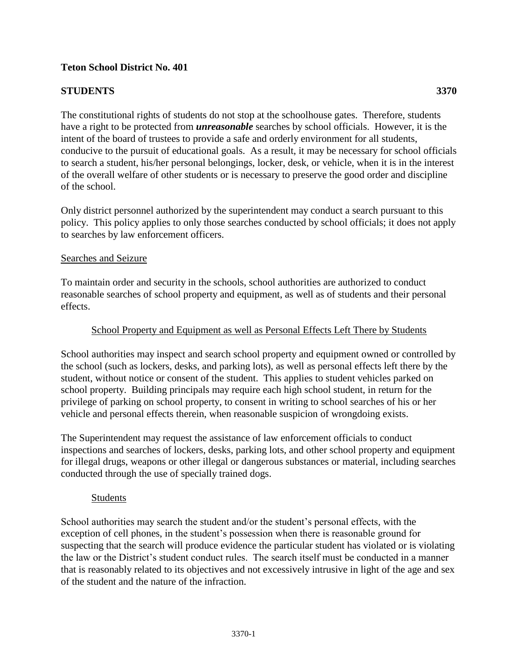# **Teton School District No. 401**

# **STUDENTS 3370**

of the school.

The constitutional rights of students do not stop at the schoolhouse gates. Therefore, students have a right to be protected from *unreasonable* searches by school officials. However, it is the intent of the board of trustees to provide a safe and orderly environment for all students, conducive to the pursuit of educational goals. As a result, it may be necessary for school officials to search a student, his/her personal belongings, locker, desk, or vehicle, when it is in the interest of the overall welfare of other students or is necessary to preserve the good order and discipline

Only district personnel authorized by the superintendent may conduct a search pursuant to this policy. This policy applies to only those searches conducted by school officials; it does not apply to searches by law enforcement officers.

#### Searches and Seizure

To maintain order and security in the schools, school authorities are authorized to conduct reasonable searches of school property and equipment, as well as of students and their personal effects.

## School Property and Equipment as well as Personal Effects Left There by Students

School authorities may inspect and search school property and equipment owned or controlled by the school (such as lockers, desks, and parking lots), as well as personal effects left there by the student, without notice or consent of the student. This applies to student vehicles parked on school property. Building principals may require each high school student, in return for the privilege of parking on school property, to consent in writing to school searches of his or her vehicle and personal effects therein, when reasonable suspicion of wrongdoing exists.

The Superintendent may request the assistance of law enforcement officials to conduct inspections and searches of lockers, desks, parking lots, and other school property and equipment for illegal drugs, weapons or other illegal or dangerous substances or material, including searches conducted through the use of specially trained dogs.

#### Students

School authorities may search the student and/or the student's personal effects, with the exception of cell phones, in the student's possession when there is reasonable ground for suspecting that the search will produce evidence the particular student has violated or is violating the law or the District's student conduct rules. The search itself must be conducted in a manner that is reasonably related to its objectives and not excessively intrusive in light of the age and sex of the student and the nature of the infraction.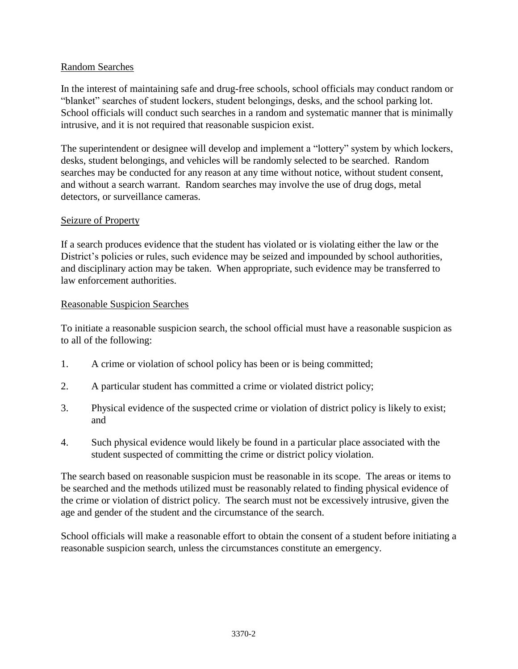# Random Searches

In the interest of maintaining safe and drug-free schools, school officials may conduct random or "blanket" searches of student lockers, student belongings, desks, and the school parking lot. School officials will conduct such searches in a random and systematic manner that is minimally intrusive, and it is not required that reasonable suspicion exist.

The superintendent or designee will develop and implement a "lottery" system by which lockers, desks, student belongings, and vehicles will be randomly selected to be searched. Random searches may be conducted for any reason at any time without notice, without student consent, and without a search warrant. Random searches may involve the use of drug dogs, metal detectors, or surveillance cameras.

#### Seizure of Property

If a search produces evidence that the student has violated or is violating either the law or the District's policies or rules, such evidence may be seized and impounded by school authorities, and disciplinary action may be taken. When appropriate, such evidence may be transferred to law enforcement authorities.

## Reasonable Suspicion Searches

To initiate a reasonable suspicion search, the school official must have a reasonable suspicion as to all of the following:

- 1. A crime or violation of school policy has been or is being committed;
- 2. A particular student has committed a crime or violated district policy;
- 3. Physical evidence of the suspected crime or violation of district policy is likely to exist; and
- 4. Such physical evidence would likely be found in a particular place associated with the student suspected of committing the crime or district policy violation.

The search based on reasonable suspicion must be reasonable in its scope. The areas or items to be searched and the methods utilized must be reasonably related to finding physical evidence of the crime or violation of district policy. The search must not be excessively intrusive, given the age and gender of the student and the circumstance of the search.

School officials will make a reasonable effort to obtain the consent of a student before initiating a reasonable suspicion search, unless the circumstances constitute an emergency.